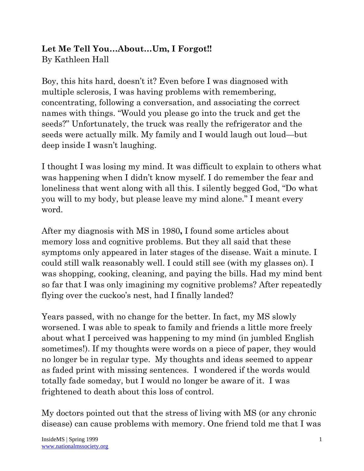## Let Me Tell You...About...Um, I Forgot!! By Kathleen Hall

Boy, this hits hard, doesn't it? Even before I was diagnosed with multiple sclerosis, I was having problems with remembering, concentrating, following a conversation, and associating the correct names with things. "Would you please go into the truck and get the seeds?" Unfortunately, the truck was really the refrigerator and the seeds were actually milk. My family and I would laugh out loud—but deep inside I wasn't laughing.

I thought I was losing my mind. It was difficult to explain to others what was happening when I didn't know myself. I do remember the fear and loneliness that went along with all this. I silently begged God, "Do what you will to my body, but please leave my mind alone." I meant every word.

After my diagnosis with MS in 1980**,** I found some articles about memory loss and cognitive problems. But they all said that these symptoms only appeared in later stages of the disease. Wait a minute. I could still walk reasonably well. I could still see (with my glasses on). I was shopping, cooking, cleaning, and paying the bills. Had my mind bent so far that I was only imagining my cognitive problems? After repeatedly flying over the cuckoo's nest, had I finally landed?

Years passed, with no change for the better. In fact, my MS slowly worsened. I was able to speak to family and friends a little more freely about what I perceived was happening to my mind (in jumbled English sometimes!). If my thoughts were words on a piece of paper, they would no longer be in regular type. My thoughts and ideas seemed to appear as faded print with missing sentences. I wondered if the words would totally fade someday, but I would no longer be aware of it. I was frightened to death about this loss of control.

My doctors pointed out that the stress of living with MS (or any chronic disease) can cause problems with memory. One friend told me that I was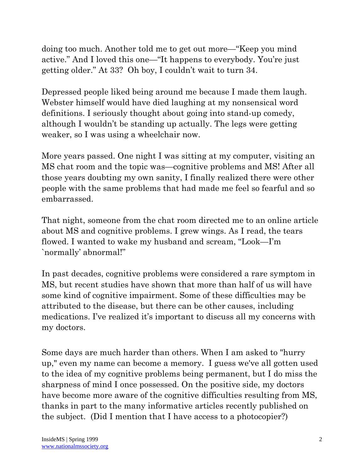doing too much. Another told me to get out more—"Keep you mind active." And I loved this one—"It happens to everybody. You're just getting older." At 33? Oh boy, I couldn't wait to turn 34.

Depressed people liked being around me because I made them laugh. Webster himself would have died laughing at my nonsensical word definitions. I seriously thought about going into stand-up comedy, although I wouldn't be standing up actually. The legs were getting weaker, so I was using a wheelchair now.

More years passed. One night I was sitting at my computer, visiting an MS chat room and the topic was—cognitive problems and MS! After all those years doubting my own sanity, I finally realized there were other people with the same problems that had made me feel so fearful and so embarrassed.

That night, someone from the chat room directed me to an online article about MS and cognitive problems. I grew wings. As I read, the tears flowed. I wanted to wake my husband and scream, "Look—I'm `normally' abnormal!"

In past decades, cognitive problems were considered a rare symptom in MS, but recent studies have shown that more than half of us will have some kind of cognitive impairment. Some of these difficulties may be attributed to the disease, but there can be other causes, including medications. I've realized it's important to discuss all my concerns with my doctors.

Some days are much harder than others. When I am asked to "hurry up," even my name can become a memory. I guess we've all gotten used to the idea of my cognitive problems being permanent, but I do miss the sharpness of mind I once possessed. On the positive side, my doctors have become more aware of the cognitive difficulties resulting from MS, thanks in part to the many informative articles recently published on the subject. (Did I mention that I have access to a photocopier?)